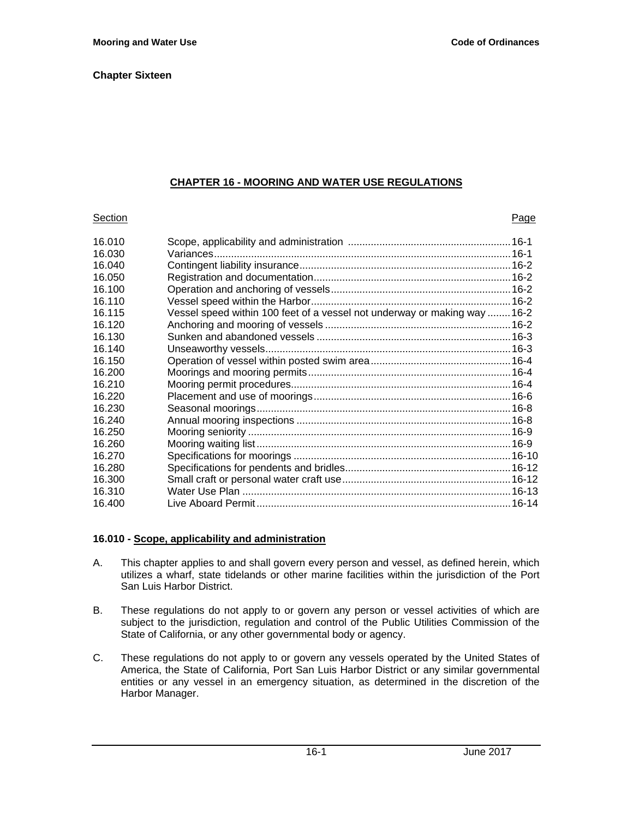# **CHAPTER 16 - MOORING AND WATER USE REGULATIONS**

#### **Section Page 2018**

| 16.010 |                                                                           |  |
|--------|---------------------------------------------------------------------------|--|
| 16.030 |                                                                           |  |
| 16.040 |                                                                           |  |
| 16.050 |                                                                           |  |
| 16.100 |                                                                           |  |
| 16.110 |                                                                           |  |
| 16.115 | Vessel speed within 100 feet of a vessel not underway or making way  16-2 |  |
| 16.120 |                                                                           |  |
| 16.130 |                                                                           |  |
| 16.140 |                                                                           |  |
| 16.150 |                                                                           |  |
| 16.200 |                                                                           |  |
| 16.210 |                                                                           |  |
| 16.220 |                                                                           |  |
| 16.230 |                                                                           |  |
| 16.240 |                                                                           |  |
| 16.250 |                                                                           |  |
| 16.260 |                                                                           |  |
| 16.270 |                                                                           |  |
| 16.280 |                                                                           |  |
| 16.300 |                                                                           |  |
| 16.310 |                                                                           |  |
| 16.400 |                                                                           |  |
|        |                                                                           |  |

# **16.010 - Scope, applicability and administration**

- A. This chapter applies to and shall govern every person and vessel, as defined herein, which utilizes a wharf, state tidelands or other marine facilities within the jurisdiction of the Port San Luis Harbor District.
- B. These regulations do not apply to or govern any person or vessel activities of which are subject to the jurisdiction, regulation and control of the Public Utilities Commission of the State of California, or any other governmental body or agency.
- C. These regulations do not apply to or govern any vessels operated by the United States of America, the State of California, Port San Luis Harbor District or any similar governmental entities or any vessel in an emergency situation, as determined in the discretion of the Harbor Manager.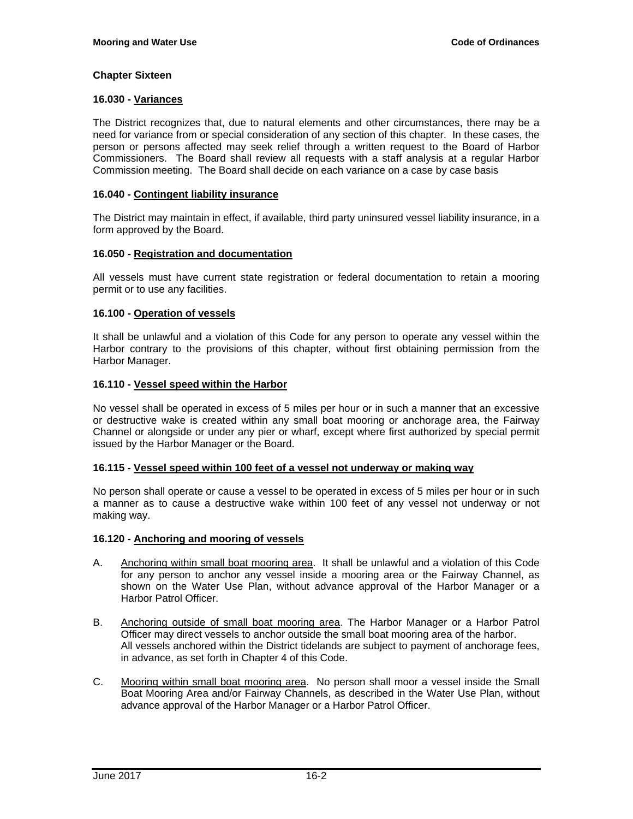#### **16.030 - Variances**

The District recognizes that, due to natural elements and other circumstances, there may be a need for variance from or special consideration of any section of this chapter. In these cases, the person or persons affected may seek relief through a written request to the Board of Harbor Commissioners. The Board shall review all requests with a staff analysis at a regular Harbor Commission meeting. The Board shall decide on each variance on a case by case basis

#### **16.040 - Contingent liability insurance**

The District may maintain in effect, if available, third party uninsured vessel liability insurance, in a form approved by the Board.

#### **16.050 - Registration and documentation**

All vessels must have current state registration or federal documentation to retain a mooring permit or to use any facilities.

#### **16.100 - Operation of vessels**

It shall be unlawful and a violation of this Code for any person to operate any vessel within the Harbor contrary to the provisions of this chapter, without first obtaining permission from the Harbor Manager.

#### **16.110 - Vessel speed within the Harbor**

No vessel shall be operated in excess of 5 miles per hour or in such a manner that an excessive or destructive wake is created within any small boat mooring or anchorage area, the Fairway Channel or alongside or under any pier or wharf, except where first authorized by special permit issued by the Harbor Manager or the Board.

#### **16.115 - Vessel speed within 100 feet of a vessel not underway or making way**

No person shall operate or cause a vessel to be operated in excess of 5 miles per hour or in such a manner as to cause a destructive wake within 100 feet of any vessel not underway or not making way.

#### **16.120 - Anchoring and mooring of vessels**

- A. Anchoring within small boat mooring area. It shall be unlawful and a violation of this Code for any person to anchor any vessel inside a mooring area or the Fairway Channel, as shown on the Water Use Plan, without advance approval of the Harbor Manager or a Harbor Patrol Officer.
- B. Anchoring outside of small boat mooring area. The Harbor Manager or a Harbor Patrol Officer may direct vessels to anchor outside the small boat mooring area of the harbor. All vessels anchored within the District tidelands are subject to payment of anchorage fees, in advance, as set forth in Chapter 4 of this Code.
- C. Mooring within small boat mooring area. No person shall moor a vessel inside the Small Boat Mooring Area and/or Fairway Channels, as described in the Water Use Plan, without advance approval of the Harbor Manager or a Harbor Patrol Officer.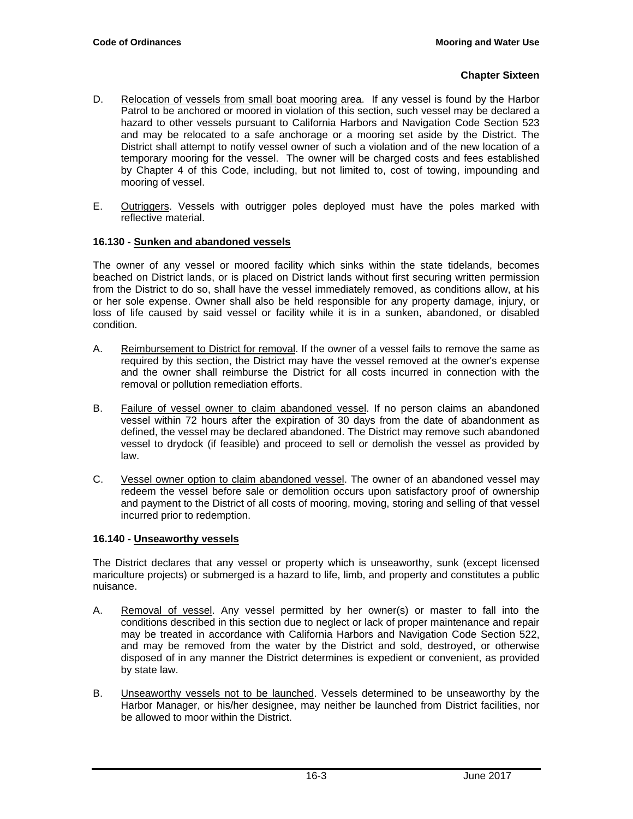- D. Relocation of vessels from small boat mooring area. If any vessel is found by the Harbor Patrol to be anchored or moored in violation of this section, such vessel may be declared a hazard to other vessels pursuant to California Harbors and Navigation Code Section 523 and may be relocated to a safe anchorage or a mooring set aside by the District. The District shall attempt to notify vessel owner of such a violation and of the new location of a temporary mooring for the vessel. The owner will be charged costs and fees established by Chapter 4 of this Code, including, but not limited to, cost of towing, impounding and mooring of vessel.
- E. Outriggers. Vessels with outrigger poles deployed must have the poles marked with reflective material.

# **16.130 - Sunken and abandoned vessels**

The owner of any vessel or moored facility which sinks within the state tidelands, becomes beached on District lands, or is placed on District lands without first securing written permission from the District to do so, shall have the vessel immediately removed, as conditions allow, at his or her sole expense. Owner shall also be held responsible for any property damage, injury, or loss of life caused by said vessel or facility while it is in a sunken, abandoned, or disabled condition.

- A. Reimbursement to District for removal. If the owner of a vessel fails to remove the same as required by this section, the District may have the vessel removed at the owner's expense and the owner shall reimburse the District for all costs incurred in connection with the removal or pollution remediation efforts.
- B. Failure of vessel owner to claim abandoned vessel. If no person claims an abandoned vessel within 72 hours after the expiration of 30 days from the date of abandonment as defined, the vessel may be declared abandoned. The District may remove such abandoned vessel to drydock (if feasible) and proceed to sell or demolish the vessel as provided by law.
- C. Vessel owner option to claim abandoned vessel. The owner of an abandoned vessel may redeem the vessel before sale or demolition occurs upon satisfactory proof of ownership and payment to the District of all costs of mooring, moving, storing and selling of that vessel incurred prior to redemption.

# **16.140 - Unseaworthy vessels**

The District declares that any vessel or property which is unseaworthy, sunk (except licensed mariculture projects) or submerged is a hazard to life, limb, and property and constitutes a public nuisance.

- A. Removal of vessel. Any vessel permitted by her owner(s) or master to fall into the conditions described in this section due to neglect or lack of proper maintenance and repair may be treated in accordance with California Harbors and Navigation Code Section 522, and may be removed from the water by the District and sold, destroyed, or otherwise disposed of in any manner the District determines is expedient or convenient, as provided by state law.
- B. Unseaworthy vessels not to be launched. Vessels determined to be unseaworthy by the Harbor Manager, or his/her designee, may neither be launched from District facilities, nor be allowed to moor within the District.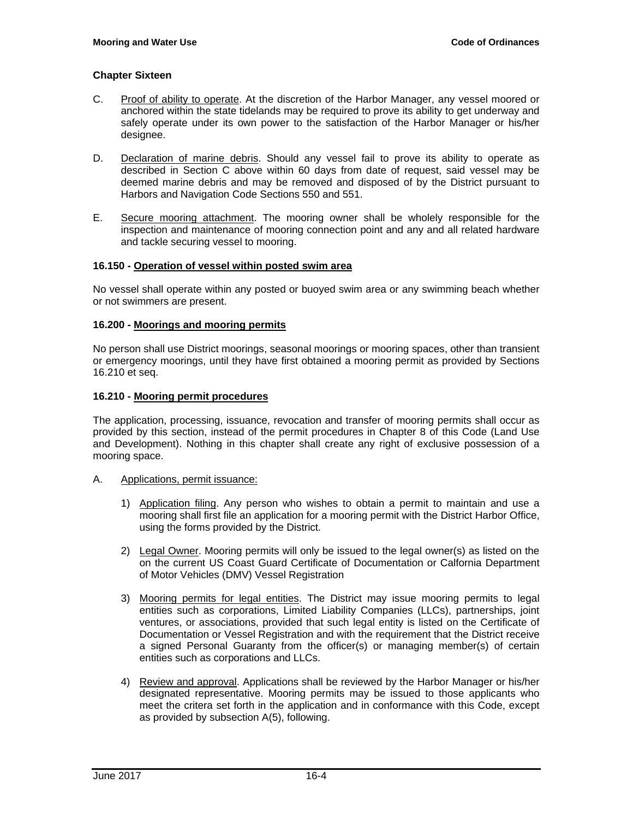- C. Proof of ability to operate. At the discretion of the Harbor Manager, any vessel moored or anchored within the state tidelands may be required to prove its ability to get underway and safely operate under its own power to the satisfaction of the Harbor Manager or his/her designee.
- D. Declaration of marine debris. Should any vessel fail to prove its ability to operate as described in Section C above within 60 days from date of request, said vessel may be deemed marine debris and may be removed and disposed of by the District pursuant to Harbors and Navigation Code Sections 550 and 551.
- E. Secure mooring attachment. The mooring owner shall be wholely responsible for the inspection and maintenance of mooring connection point and any and all related hardware and tackle securing vessel to mooring.

#### **16.150 - Operation of vessel within posted swim area**

No vessel shall operate within any posted or buoyed swim area or any swimming beach whether or not swimmers are present.

#### **16.200 - Moorings and mooring permits**

No person shall use District moorings, seasonal moorings or mooring spaces, other than transient or emergency moorings, until they have first obtained a mooring permit as provided by Sections 16.210 et seq.

#### **16.210 - Mooring permit procedures**

The application, processing, issuance, revocation and transfer of mooring permits shall occur as provided by this section, instead of the permit procedures in Chapter 8 of this Code (Land Use and Development). Nothing in this chapter shall create any right of exclusive possession of a mooring space.

- A. Applications, permit issuance:
	- 1) Application filing. Any person who wishes to obtain a permit to maintain and use a mooring shall first file an application for a mooring permit with the District Harbor Office, using the forms provided by the District.
	- 2) Legal Owner. Mooring permits will only be issued to the legal owner(s) as listed on the on the current US Coast Guard Certificate of Documentation or Calfornia Department of Motor Vehicles (DMV) Vessel Registration
	- 3) Mooring permits for legal entities. The District may issue mooring permits to legal entities such as corporations, Limited Liability Companies (LLCs), partnerships, joint ventures, or associations, provided that such legal entity is listed on the Certificate of Documentation or Vessel Registration and with the requirement that the District receive a signed Personal Guaranty from the officer(s) or managing member(s) of certain entities such as corporations and LLCs.
	- 4) Review and approval. Applications shall be reviewed by the Harbor Manager or his/her designated representative. Mooring permits may be issued to those applicants who meet the critera set forth in the application and in conformance with this Code, except as provided by subsection A(5), following.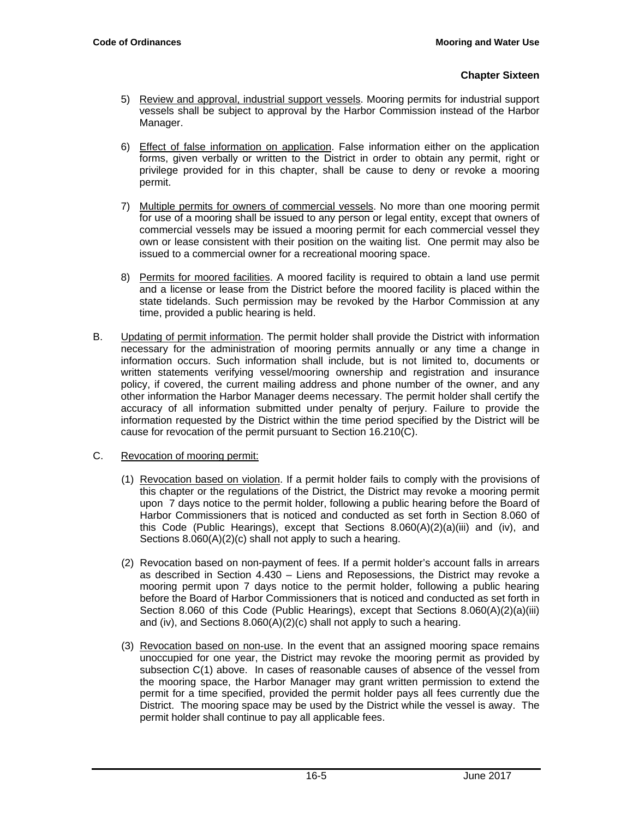- 5) Review and approval, industrial support vessels. Mooring permits for industrial support vessels shall be subject to approval by the Harbor Commission instead of the Harbor Manager.
- 6) Effect of false information on application. False information either on the application forms, given verbally or written to the District in order to obtain any permit, right or privilege provided for in this chapter, shall be cause to deny or revoke a mooring permit.
- 7) Multiple permits for owners of commercial vessels. No more than one mooring permit for use of a mooring shall be issued to any person or legal entity, except that owners of commercial vessels may be issued a mooring permit for each commercial vessel they own or lease consistent with their position on the waiting list. One permit may also be issued to a commercial owner for a recreational mooring space.
- 8) Permits for moored facilities. A moored facility is required to obtain a land use permit and a license or lease from the District before the moored facility is placed within the state tidelands. Such permission may be revoked by the Harbor Commission at any time, provided a public hearing is held.
- B. Updating of permit information. The permit holder shall provide the District with information necessary for the administration of mooring permits annually or any time a change in information occurs. Such information shall include, but is not limited to, documents or written statements verifying vessel/mooring ownership and registration and insurance policy, if covered, the current mailing address and phone number of the owner, and any other information the Harbor Manager deems necessary. The permit holder shall certify the accuracy of all information submitted under penalty of perjury. Failure to provide the information requested by the District within the time period specified by the District will be cause for revocation of the permit pursuant to Section 16.210(C).
- C. Revocation of mooring permit:
	- (1) Revocation based on violation. If a permit holder fails to comply with the provisions of this chapter or the regulations of the District, the District may revoke a mooring permit upon 7 days notice to the permit holder, following a public hearing before the Board of Harbor Commissioners that is noticed and conducted as set forth in Section 8.060 of this Code (Public Hearings), except that Sections 8.060(A)(2)(a)(iii) and (iv), and Sections 8.060(A)(2)(c) shall not apply to such a hearing.
	- (2) Revocation based on non-payment of fees. If a permit holder's account falls in arrears as described in Section 4.430 – Liens and Reposessions, the District may revoke a mooring permit upon 7 days notice to the permit holder, following a public hearing before the Board of Harbor Commissioners that is noticed and conducted as set forth in Section 8.060 of this Code (Public Hearings), except that Sections 8.060(A)(2)(a)(iii) and (iv), and Sections 8.060(A)(2)(c) shall not apply to such a hearing.
	- (3) Revocation based on non-use. In the event that an assigned mooring space remains unoccupied for one year, the District may revoke the mooring permit as provided by subsection C(1) above. In cases of reasonable causes of absence of the vessel from the mooring space, the Harbor Manager may grant written permission to extend the permit for a time specified, provided the permit holder pays all fees currently due the District. The mooring space may be used by the District while the vessel is away. The permit holder shall continue to pay all applicable fees.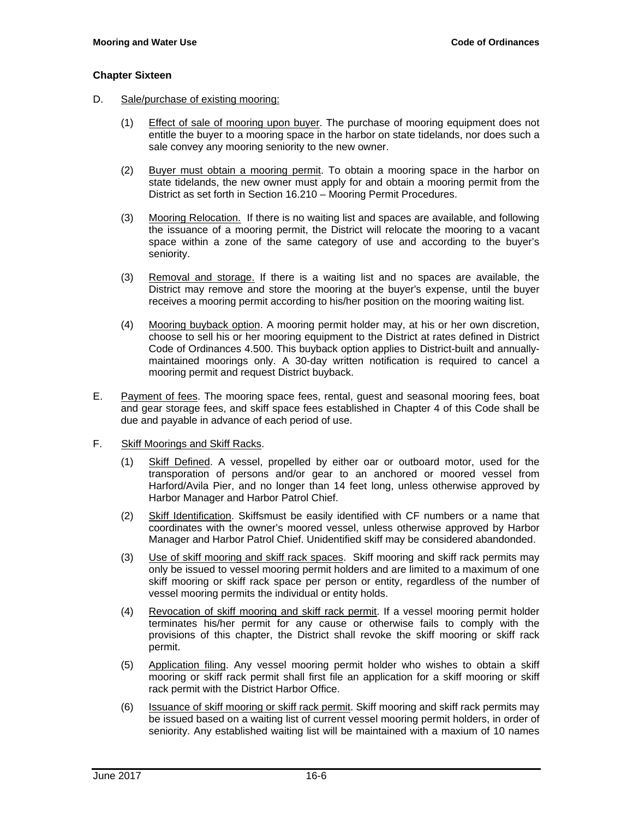- D. Sale/purchase of existing mooring:
	- (1) Effect of sale of mooring upon buyer. The purchase of mooring equipment does not entitle the buyer to a mooring space in the harbor on state tidelands, nor does such a sale convey any mooring seniority to the new owner.
	- (2) Buyer must obtain a mooring permit. To obtain a mooring space in the harbor on state tidelands, the new owner must apply for and obtain a mooring permit from the District as set forth in Section 16.210 – Mooring Permit Procedures.
	- (3) Mooring Relocation. If there is no waiting list and spaces are available, and following the issuance of a mooring permit, the District will relocate the mooring to a vacant space within a zone of the same category of use and according to the buyer's seniority.
	- (3) Removal and storage. If there is a waiting list and no spaces are available, the District may remove and store the mooring at the buyer's expense, until the buyer receives a mooring permit according to his/her position on the mooring waiting list.
	- (4) Mooring buyback option. A mooring permit holder may, at his or her own discretion, choose to sell his or her mooring equipment to the District at rates defined in District Code of Ordinances 4.500. This buyback option applies to District-built and annuallymaintained moorings only. A 30-day written notification is required to cancel a mooring permit and request District buyback.
- E. Payment of fees. The mooring space fees, rental, guest and seasonal mooring fees, boat and gear storage fees, and skiff space fees established in Chapter 4 of this Code shall be due and payable in advance of each period of use.
- F. Skiff Moorings and Skiff Racks.
	- (1) Skiff Defined. A vessel, propelled by either oar or outboard motor, used for the transporation of persons and/or gear to an anchored or moored vessel from Harford/Avila Pier, and no longer than 14 feet long, unless otherwise approved by Harbor Manager and Harbor Patrol Chief.
	- (2) Skiff Identification. Skiffsmust be easily identified with CF numbers or a name that coordinates with the owner's moored vessel, unless otherwise approved by Harbor Manager and Harbor Patrol Chief. Unidentified skiff may be considered abandonded.
	- (3) Use of skiff mooring and skiff rack spaces. Skiff mooring and skiff rack permits may only be issued to vessel mooring permit holders and are limited to a maximum of one skiff mooring or skiff rack space per person or entity, regardless of the number of vessel mooring permits the individual or entity holds.
	- (4) Revocation of skiff mooring and skiff rack permit. If a vessel mooring permit holder terminates his/her permit for any cause or otherwise fails to comply with the provisions of this chapter, the District shall revoke the skiff mooring or skiff rack permit.
	- (5) Application filing. Any vessel mooring permit holder who wishes to obtain a skiff mooring or skiff rack permit shall first file an application for a skiff mooring or skiff rack permit with the District Harbor Office.
	- (6) Issuance of skiff mooring or skiff rack permit. Skiff mooring and skiff rack permits may be issued based on a waiting list of current vessel mooring permit holders, in order of seniority. Any established waiting list will be maintained with a maxium of 10 names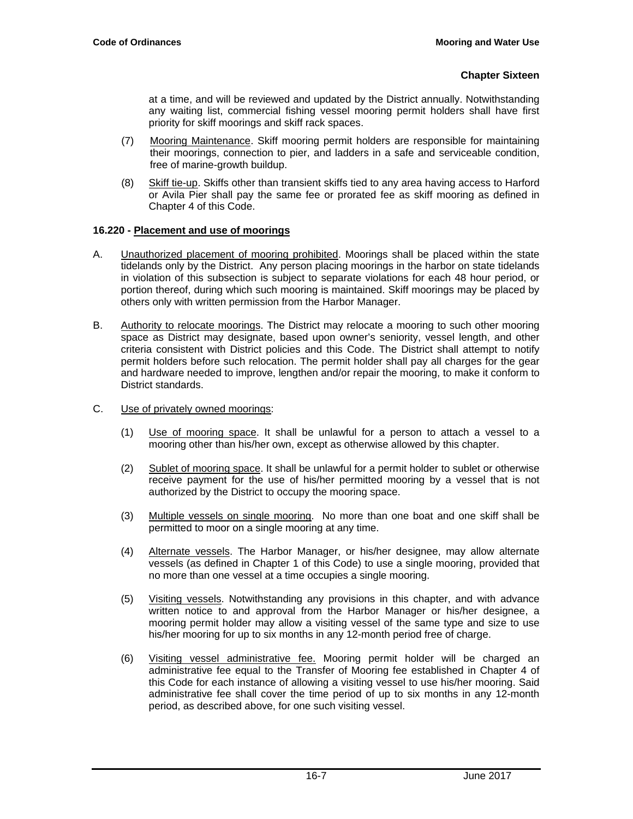at a time, and will be reviewed and updated by the District annually. Notwithstanding any waiting list, commercial fishing vessel mooring permit holders shall have first priority for skiff moorings and skiff rack spaces.

- (7) Mooring Maintenance. Skiff mooring permit holders are responsible for maintaining their moorings, connection to pier, and ladders in a safe and serviceable condition, free of marine-growth buildup.
- (8) Skiff tie-up. Skiffs other than transient skiffs tied to any area having access to Harford or Avila Pier shall pay the same fee or prorated fee as skiff mooring as defined in Chapter 4 of this Code.

# **16.220 - Placement and use of moorings**

- A. Unauthorized placement of mooring prohibited. Moorings shall be placed within the state tidelands only by the District. Any person placing moorings in the harbor on state tidelands in violation of this subsection is subject to separate violations for each 48 hour period, or portion thereof, during which such mooring is maintained. Skiff moorings may be placed by others only with written permission from the Harbor Manager.
- B. Authority to relocate moorings. The District may relocate a mooring to such other mooring space as District may designate, based upon owner's seniority, vessel length, and other criteria consistent with District policies and this Code. The District shall attempt to notify permit holders before such relocation. The permit holder shall pay all charges for the gear and hardware needed to improve, lengthen and/or repair the mooring, to make it conform to District standards.
- C. Use of privately owned moorings:
	- (1) Use of mooring space. It shall be unlawful for a person to attach a vessel to a mooring other than his/her own, except as otherwise allowed by this chapter.
	- (2) Sublet of mooring space. It shall be unlawful for a permit holder to sublet or otherwise receive payment for the use of his/her permitted mooring by a vessel that is not authorized by the District to occupy the mooring space.
	- (3) Multiple vessels on single mooring. No more than one boat and one skiff shall be permitted to moor on a single mooring at any time.
	- (4) Alternate vessels. The Harbor Manager, or his/her designee, may allow alternate vessels (as defined in Chapter 1 of this Code) to use a single mooring, provided that no more than one vessel at a time occupies a single mooring.
	- (5) Visiting vessels. Notwithstanding any provisions in this chapter, and with advance written notice to and approval from the Harbor Manager or his/her designee, a mooring permit holder may allow a visiting vessel of the same type and size to use his/her mooring for up to six months in any 12-month period free of charge.
	- (6) Visiting vessel administrative fee. Mooring permit holder will be charged an administrative fee equal to the Transfer of Mooring fee established in Chapter 4 of this Code for each instance of allowing a visiting vessel to use his/her mooring. Said administrative fee shall cover the time period of up to six months in any 12-month period, as described above, for one such visiting vessel.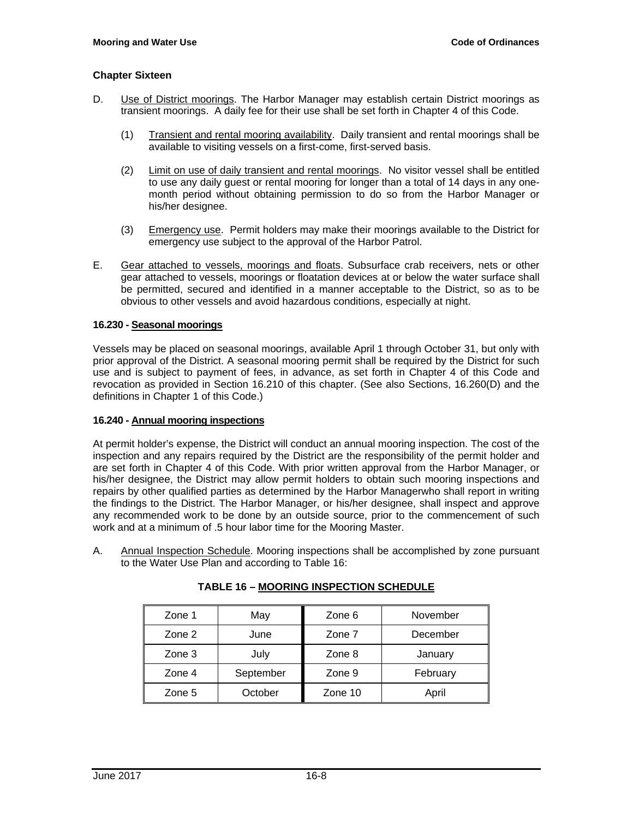- D. Use of District moorings. The Harbor Manager may establish certain District moorings as transient moorings. A daily fee for their use shall be set forth in Chapter 4 of this Code.
	- (1) Transient and rental mooring availability. Daily transient and rental moorings shall be available to visiting vessels on a first-come, first-served basis.
	- (2) Limit on use of daily transient and rental moorings. No visitor vessel shall be entitled to use any daily guest or rental mooring for longer than a total of 14 days in any onemonth period without obtaining permission to do so from the Harbor Manager or his/her designee.
	- (3) Emergency use. Permit holders may make their moorings available to the District for emergency use subject to the approval of the Harbor Patrol.
- E. Gear attached to vessels, moorings and floats. Subsurface crab receivers, nets or other gear attached to vessels, moorings or floatation devices at or below the water surface shall be permitted, secured and identified in a manner acceptable to the District, so as to be obvious to other vessels and avoid hazardous conditions, especially at night.

#### **16.230 - Seasonal moorings**

Vessels may be placed on seasonal moorings, available April 1 through October 31, but only with prior approval of the District. A seasonal mooring permit shall be required by the District for such use and is subject to payment of fees, in advance, as set forth in Chapter 4 of this Code and revocation as provided in Section 16.210 of this chapter. (See also Sections, 16.260(D) and the definitions in Chapter 1 of this Code.)

#### **16.240 - Annual mooring inspections**

At permit holder's expense, the District will conduct an annual mooring inspection. The cost of the inspection and any repairs required by the District are the responsibility of the permit holder and are set forth in Chapter 4 of this Code. With prior written approval from the Harbor Manager, or his/her designee, the District may allow permit holders to obtain such mooring inspections and repairs by other qualified parties as determined by the Harbor Managerwho shall report in writing the findings to the District. The Harbor Manager, or his/her designee, shall inspect and approve any recommended work to be done by an outside source, prior to the commencement of such work and at a minimum of .5 hour labor time for the Mooring Master.

A. Annual Inspection Schedule. Mooring inspections shall be accomplished by zone pursuant to the Water Use Plan and according to Table 16:

| Zone 1 | May       | Zone 6  | November |
|--------|-----------|---------|----------|
| Zone 2 | June      | Zone 7  | December |
| Zone 3 | July      | Zone 8  | January  |
| Zone 4 | September | Zone 9  | February |
| Zone 5 | October   | Zone 10 | April    |

**TABLE 16 – MOORING INSPECTION SCHEDULE**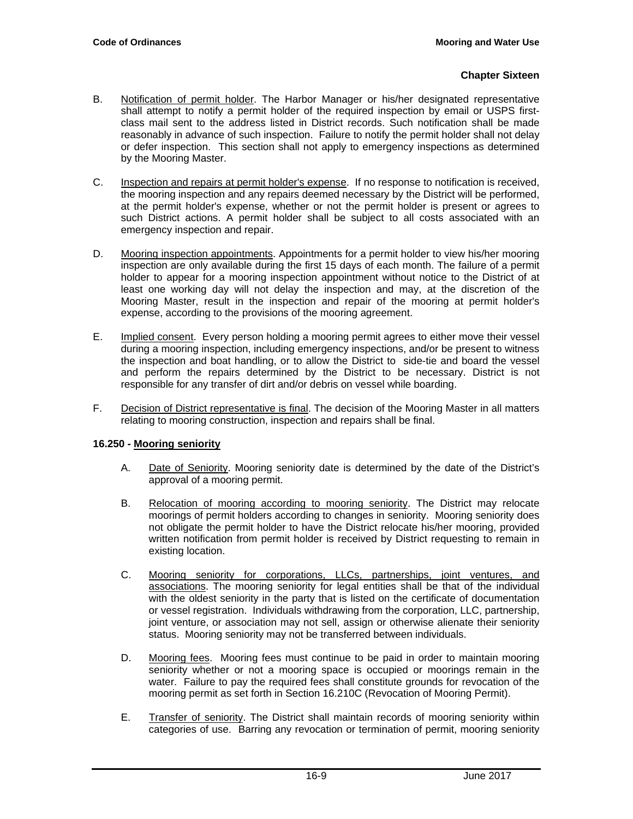- B. Notification of permit holder. The Harbor Manager or his/her designated representative shall attempt to notify a permit holder of the required inspection by email or USPS firstclass mail sent to the address listed in District records. Such notification shall be made reasonably in advance of such inspection. Failure to notify the permit holder shall not delay or defer inspection. This section shall not apply to emergency inspections as determined by the Mooring Master.
- C. Inspection and repairs at permit holder's expense. If no response to notification is received, the mooring inspection and any repairs deemed necessary by the District will be performed, at the permit holder's expense, whether or not the permit holder is present or agrees to such District actions. A permit holder shall be subject to all costs associated with an emergency inspection and repair.
- D. Mooring inspection appointments. Appointments for a permit holder to view his/her mooring inspection are only available during the first 15 days of each month. The failure of a permit holder to appear for a mooring inspection appointment without notice to the District of at least one working day will not delay the inspection and may, at the discretion of the Mooring Master, result in the inspection and repair of the mooring at permit holder's expense, according to the provisions of the mooring agreement.
- E. Implied consent. Every person holding a mooring permit agrees to either move their vessel during a mooring inspection, including emergency inspections, and/or be present to witness the inspection and boat handling, or to allow the District to side-tie and board the vessel and perform the repairs determined by the District to be necessary. District is not responsible for any transfer of dirt and/or debris on vessel while boarding.
- F. Decision of District representative is final. The decision of the Mooring Master in all matters relating to mooring construction, inspection and repairs shall be final.

# **16.250 - Mooring seniority**

- A. Date of Seniority. Mooring seniority date is determined by the date of the District's approval of a mooring permit.
- B. Relocation of mooring according to mooring seniority. The District may relocate moorings of permit holders according to changes in seniority. Mooring seniority does not obligate the permit holder to have the District relocate his/her mooring, provided written notification from permit holder is received by District requesting to remain in existing location.
- C. Mooring seniority for corporations, LLCs, partnerships, joint ventures, and associations. The mooring seniority for legal entities shall be that of the individual with the oldest seniority in the party that is listed on the certificate of documentation or vessel registration. Individuals withdrawing from the corporation, LLC, partnership, joint venture, or association may not sell, assign or otherwise alienate their seniority status. Mooring seniority may not be transferred between individuals.
- D. Mooring fees. Mooring fees must continue to be paid in order to maintain mooring seniority whether or not a mooring space is occupied or moorings remain in the water. Failure to pay the required fees shall constitute grounds for revocation of the mooring permit as set forth in Section 16.210C (Revocation of Mooring Permit).
- E. Transfer of seniority. The District shall maintain records of mooring seniority within categories of use. Barring any revocation or termination of permit, mooring seniority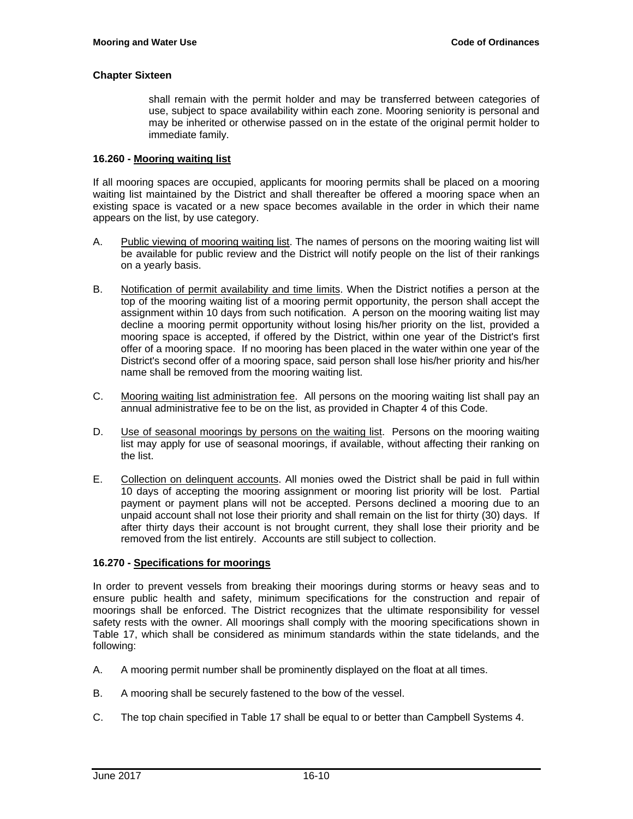shall remain with the permit holder and may be transferred between categories of use, subject to space availability within each zone. Mooring seniority is personal and may be inherited or otherwise passed on in the estate of the original permit holder to immediate family.

#### **16.260 - Mooring waiting list**

If all mooring spaces are occupied, applicants for mooring permits shall be placed on a mooring waiting list maintained by the District and shall thereafter be offered a mooring space when an existing space is vacated or a new space becomes available in the order in which their name appears on the list, by use category.

- A. Public viewing of mooring waiting list. The names of persons on the mooring waiting list will be available for public review and the District will notify people on the list of their rankings on a yearly basis.
- B. Notification of permit availability and time limits. When the District notifies a person at the top of the mooring waiting list of a mooring permit opportunity, the person shall accept the assignment within 10 days from such notification. A person on the mooring waiting list may decline a mooring permit opportunity without losing his/her priority on the list, provided a mooring space is accepted, if offered by the District, within one year of the District's first offer of a mooring space. If no mooring has been placed in the water within one year of the District's second offer of a mooring space, said person shall lose his/her priority and his/her name shall be removed from the mooring waiting list.
- C. Mooring waiting list administration fee. All persons on the mooring waiting list shall pay an annual administrative fee to be on the list, as provided in Chapter 4 of this Code.
- D. Use of seasonal moorings by persons on the waiting list. Persons on the mooring waiting list may apply for use of seasonal moorings, if available, without affecting their ranking on the list.
- E. Collection on delinquent accounts. All monies owed the District shall be paid in full within 10 days of accepting the mooring assignment or mooring list priority will be lost. Partial payment or payment plans will not be accepted. Persons declined a mooring due to an unpaid account shall not lose their priority and shall remain on the list for thirty (30) days. If after thirty days their account is not brought current, they shall lose their priority and be removed from the list entirely. Accounts are still subject to collection.

# **16.270 - Specifications for moorings**

In order to prevent vessels from breaking their moorings during storms or heavy seas and to ensure public health and safety, minimum specifications for the construction and repair of moorings shall be enforced. The District recognizes that the ultimate responsibility for vessel safety rests with the owner. All moorings shall comply with the mooring specifications shown in Table 17, which shall be considered as minimum standards within the state tidelands, and the following:

- A. A mooring permit number shall be prominently displayed on the float at all times.
- B. A mooring shall be securely fastened to the bow of the vessel.
- C. The top chain specified in Table 17 shall be equal to or better than Campbell Systems 4.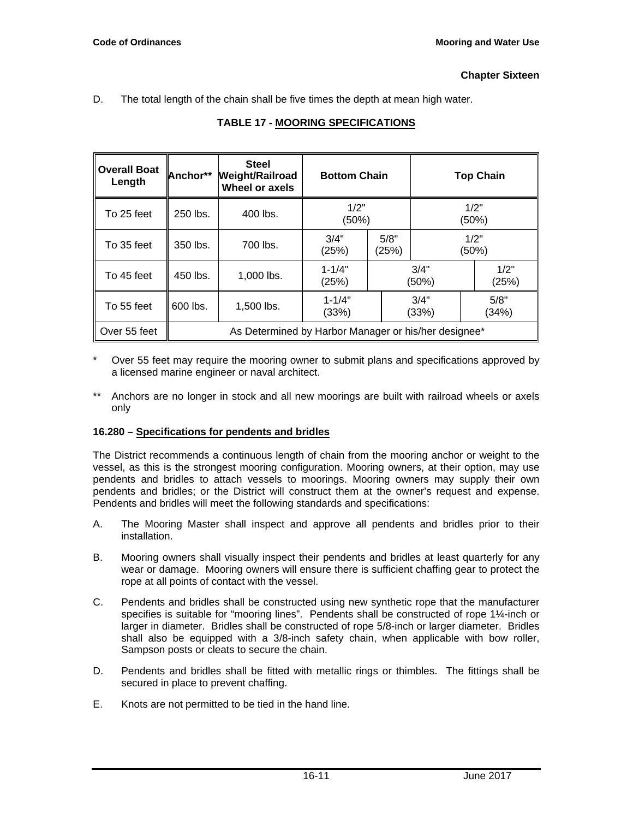D. The total length of the chain shall be five times the depth at mean high water.

| <b>Overall Boat</b><br>Length | Anchor**                                             | <b>Steel</b><br><b>Weight/Railroad</b><br>Wheel or axels | <b>Bottom Chain</b> |               | <b>Top Chain</b> |               |  |
|-------------------------------|------------------------------------------------------|----------------------------------------------------------|---------------------|---------------|------------------|---------------|--|
| To 25 feet                    | 250 lbs.                                             | 400 lbs.                                                 | 1/2"<br>(50%)       |               | 1/2"<br>(50%)    |               |  |
| To 35 feet                    | 350 lbs.                                             | 700 lbs.                                                 | 3/4"<br>(25%)       | 5/8"<br>(25%) | 1/2"<br>(50%)    |               |  |
| To 45 feet                    | 450 lbs.                                             | $1.000$ lbs.                                             | $1 - 1/4"$<br>(25%) | 3/4"<br>(50%) |                  | 1/2"<br>(25%) |  |
| To 55 feet                    | 600 lbs.                                             | 1,500 lbs.                                               | $1 - 1/4"$<br>(33%) | 3/4"<br>(33%) |                  | 5/8"<br>(34%) |  |
| Over 55 feet                  | As Determined by Harbor Manager or his/her designee* |                                                          |                     |               |                  |               |  |

# **TABLE 17 - MOORING SPECIFICATIONS**

- Over 55 feet may require the mooring owner to submit plans and specifications approved by a licensed marine engineer or naval architect.
- \*\* Anchors are no longer in stock and all new moorings are built with railroad wheels or axels only

# **16.280 – Specifications for pendents and bridles**

The District recommends a continuous length of chain from the mooring anchor or weight to the vessel, as this is the strongest mooring configuration. Mooring owners, at their option, may use pendents and bridles to attach vessels to moorings. Mooring owners may supply their own pendents and bridles; or the District will construct them at the owner's request and expense. Pendents and bridles will meet the following standards and specifications:

- A. The Mooring Master shall inspect and approve all pendents and bridles prior to their installation.
- B. Mooring owners shall visually inspect their pendents and bridles at least quarterly for any wear or damage. Mooring owners will ensure there is sufficient chaffing gear to protect the rope at all points of contact with the vessel.
- C. Pendents and bridles shall be constructed using new synthetic rope that the manufacturer specifies is suitable for "mooring lines". Pendents shall be constructed of rope 1¼-inch or larger in diameter. Bridles shall be constructed of rope 5/8-inch or larger diameter. Bridles shall also be equipped with a 3/8-inch safety chain, when applicable with bow roller, Sampson posts or cleats to secure the chain.
- D. Pendents and bridles shall be fitted with metallic rings or thimbles. The fittings shall be secured in place to prevent chaffing.
- E. Knots are not permitted to be tied in the hand line.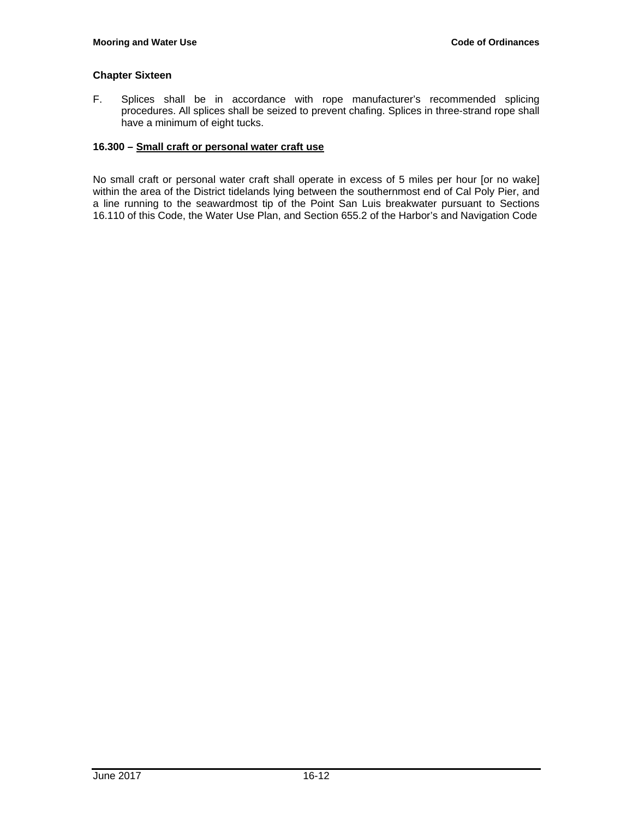F. Splices shall be in accordance with rope manufacturer's recommended splicing procedures. All splices shall be seized to prevent chafing. Splices in three-strand rope shall have a minimum of eight tucks.

#### **16.300 – Small craft or personal water craft use**

No small craft or personal water craft shall operate in excess of 5 miles per hour [or no wake] within the area of the District tidelands lying between the southernmost end of Cal Poly Pier, and a line running to the seawardmost tip of the Point San Luis breakwater pursuant to Sections 16.110 of this Code, the Water Use Plan, and Section 655.2 of the Harbor's and Navigation Code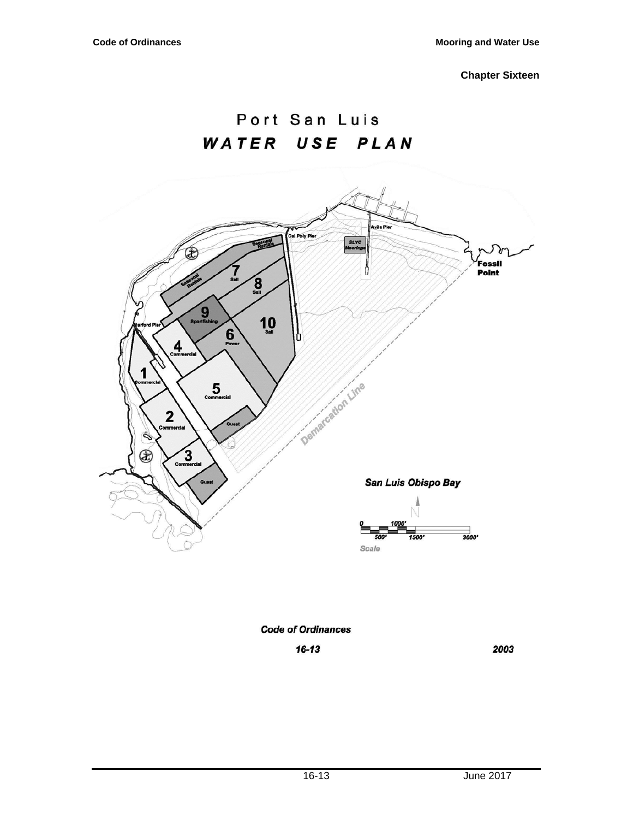# Port San Luis WATER USE PLAN



# **Code of Ordinances**

 $16 - 13$ 

2003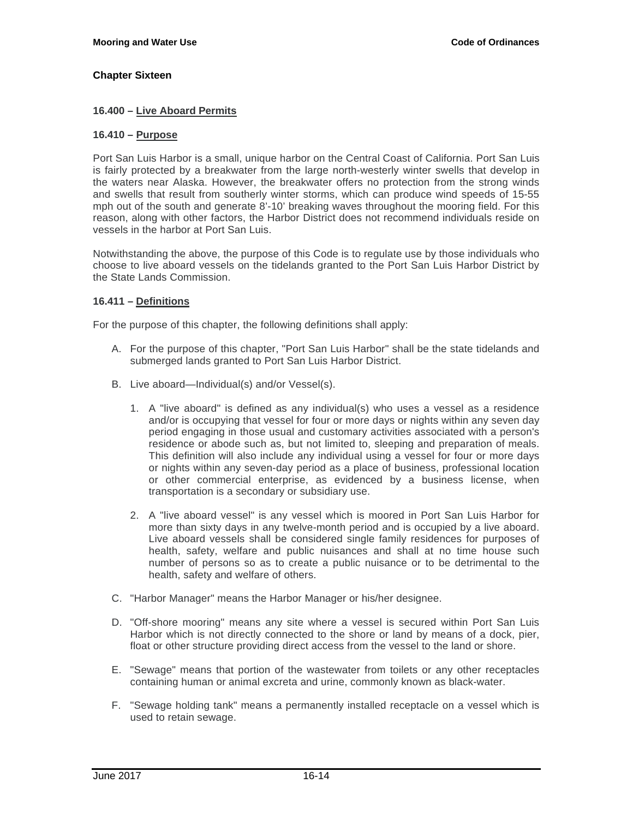#### **16.400 – Live Aboard Permits**

#### **16.410 – Purpose**

Port San Luis Harbor is a small, unique harbor on the Central Coast of California. Port San Luis is fairly protected by a breakwater from the large north-westerly winter swells that develop in the waters near Alaska. However, the breakwater offers no protection from the strong winds and swells that result from southerly winter storms, which can produce wind speeds of 15-55 mph out of the south and generate 8'-10' breaking waves throughout the mooring field. For this reason, along with other factors, the Harbor District does not recommend individuals reside on vessels in the harbor at Port San Luis.

Notwithstanding the above, the purpose of this Code is to regulate use by those individuals who choose to live aboard vessels on the tidelands granted to the Port San Luis Harbor District by the State Lands Commission.

# **16.411 – Definitions**

For the purpose of this chapter, the following definitions shall apply:

- A. For the purpose of this chapter, "Port San Luis Harbor" shall be the state tidelands and submerged lands granted to Port San Luis Harbor District.
- B. Live aboard—Individual(s) and/or Vessel(s).
	- 1. A "live aboard" is defined as any individual(s) who uses a vessel as a residence and/or is occupying that vessel for four or more days or nights within any seven day period engaging in those usual and customary activities associated with a person's residence or abode such as, but not limited to, sleeping and preparation of meals. This definition will also include any individual using a vessel for four or more days or nights within any seven-day period as a place of business, professional location or other commercial enterprise, as evidenced by a business license, when transportation is a secondary or subsidiary use.
	- 2. A "live aboard vessel" is any vessel which is moored in Port San Luis Harbor for more than sixty days in any twelve-month period and is occupied by a live aboard. Live aboard vessels shall be considered single family residences for purposes of health, safety, welfare and public nuisances and shall at no time house such number of persons so as to create a public nuisance or to be detrimental to the health, safety and welfare of others.
- C. "Harbor Manager" means the Harbor Manager or his/her designee.
- D. "Off-shore mooring" means any site where a vessel is secured within Port San Luis Harbor which is not directly connected to the shore or land by means of a dock, pier, float or other structure providing direct access from the vessel to the land or shore.
- E. "Sewage" means that portion of the wastewater from toilets or any other receptacles containing human or animal excreta and urine, commonly known as black-water.
- F. "Sewage holding tank" means a permanently installed receptacle on a vessel which is used to retain sewage.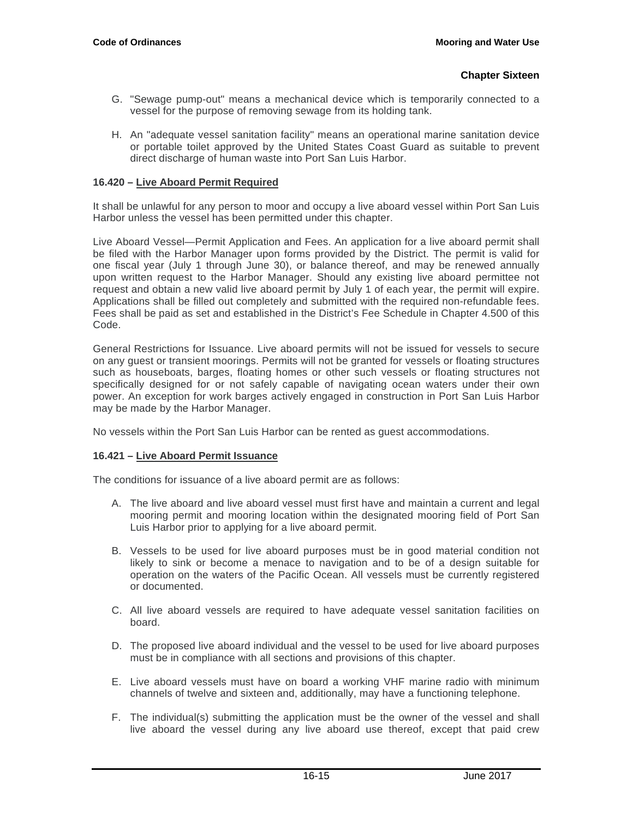- G. "Sewage pump-out" means a mechanical device which is temporarily connected to a vessel for the purpose of removing sewage from its holding tank.
- H. An "adequate vessel sanitation facility" means an operational marine sanitation device or portable toilet approved by the United States Coast Guard as suitable to prevent direct discharge of human waste into Port San Luis Harbor.

# **16.420 – Live Aboard Permit Required**

It shall be unlawful for any person to moor and occupy a live aboard vessel within Port San Luis Harbor unless the vessel has been permitted under this chapter.

Live Aboard Vessel—Permit Application and Fees. An application for a live aboard permit shall be filed with the Harbor Manager upon forms provided by the District. The permit is valid for one fiscal year (July 1 through June 30), or balance thereof, and may be renewed annually upon written request to the Harbor Manager. Should any existing live aboard permittee not request and obtain a new valid live aboard permit by July 1 of each year, the permit will expire. Applications shall be filled out completely and submitted with the required non-refundable fees. Fees shall be paid as set and established in the District's Fee Schedule in Chapter 4.500 of this Code.

General Restrictions for Issuance. Live aboard permits will not be issued for vessels to secure on any guest or transient moorings. Permits will not be granted for vessels or floating structures such as houseboats, barges, floating homes or other such vessels or floating structures not specifically designed for or not safely capable of navigating ocean waters under their own power. An exception for work barges actively engaged in construction in Port San Luis Harbor may be made by the Harbor Manager.

No vessels within the Port San Luis Harbor can be rented as guest accommodations.

# **16.421 – Live Aboard Permit Issuance**

The conditions for issuance of a live aboard permit are as follows:

- A. The live aboard and live aboard vessel must first have and maintain a current and legal mooring permit and mooring location within the designated mooring field of Port San Luis Harbor prior to applying for a live aboard permit.
- B. Vessels to be used for live aboard purposes must be in good material condition not likely to sink or become a menace to navigation and to be of a design suitable for operation on the waters of the Pacific Ocean. All vessels must be currently registered or documented.
- C. All live aboard vessels are required to have adequate vessel sanitation facilities on board.
- D. The proposed live aboard individual and the vessel to be used for live aboard purposes must be in compliance with all sections and provisions of this chapter.
- E. Live aboard vessels must have on board a working VHF marine radio with minimum channels of twelve and sixteen and, additionally, may have a functioning telephone.
- F. The individual(s) submitting the application must be the owner of the vessel and shall live aboard the vessel during any live aboard use thereof, except that paid crew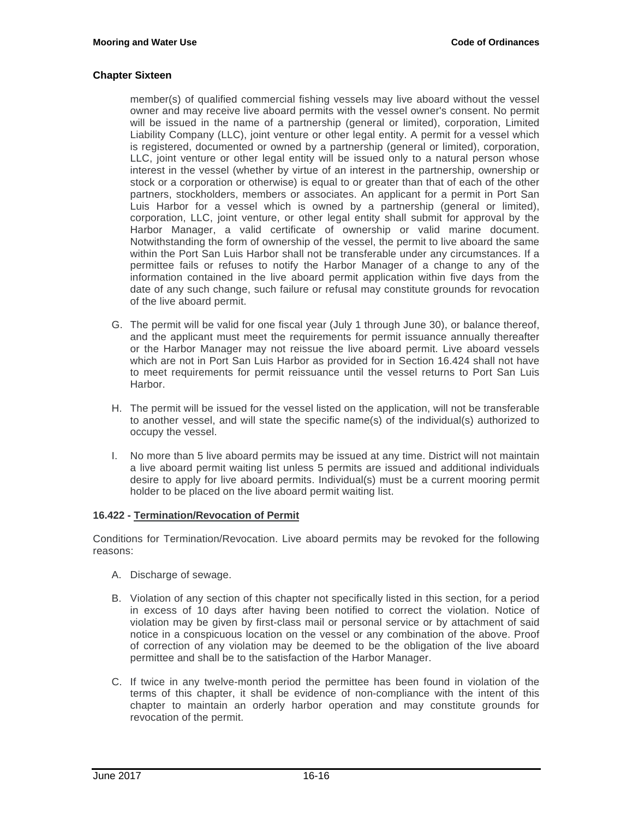member(s) of qualified commercial fishing vessels may live aboard without the vessel owner and may receive live aboard permits with the vessel owner's consent. No permit will be issued in the name of a partnership (general or limited), corporation, Limited Liability Company (LLC), joint venture or other legal entity. A permit for a vessel which is registered, documented or owned by a partnership (general or limited), corporation, LLC, joint venture or other legal entity will be issued only to a natural person whose interest in the vessel (whether by virtue of an interest in the partnership, ownership or stock or a corporation or otherwise) is equal to or greater than that of each of the other partners, stockholders, members or associates. An applicant for a permit in Port San Luis Harbor for a vessel which is owned by a partnership (general or limited), corporation, LLC, joint venture, or other legal entity shall submit for approval by the Harbor Manager, a valid certificate of ownership or valid marine document. Notwithstanding the form of ownership of the vessel, the permit to live aboard the same within the Port San Luis Harbor shall not be transferable under any circumstances. If a permittee fails or refuses to notify the Harbor Manager of a change to any of the information contained in the live aboard permit application within five days from the date of any such change, such failure or refusal may constitute grounds for revocation of the live aboard permit.

- G. The permit will be valid for one fiscal year (July 1 through June 30), or balance thereof, and the applicant must meet the requirements for permit issuance annually thereafter or the Harbor Manager may not reissue the live aboard permit. Live aboard vessels which are not in Port San Luis Harbor as provided for in Section 16.424 shall not have to meet requirements for permit reissuance until the vessel returns to Port San Luis Harbor.
- H. The permit will be issued for the vessel listed on the application, will not be transferable to another vessel, and will state the specific name(s) of the individual(s) authorized to occupy the vessel.
- I. No more than 5 live aboard permits may be issued at any time. District will not maintain a live aboard permit waiting list unless 5 permits are issued and additional individuals desire to apply for live aboard permits. Individual(s) must be a current mooring permit holder to be placed on the live aboard permit waiting list.

#### **16.422 - Termination/Revocation of Permit**

Conditions for Termination/Revocation. Live aboard permits may be revoked for the following reasons:

- A. Discharge of sewage.
- B. Violation of any section of this chapter not specifically listed in this section, for a period in excess of 10 days after having been notified to correct the violation. Notice of violation may be given by first-class mail or personal service or by attachment of said notice in a conspicuous location on the vessel or any combination of the above. Proof of correction of any violation may be deemed to be the obligation of the live aboard permittee and shall be to the satisfaction of the Harbor Manager.
- C. If twice in any twelve-month period the permittee has been found in violation of the terms of this chapter, it shall be evidence of non-compliance with the intent of this chapter to maintain an orderly harbor operation and may constitute grounds for revocation of the permit.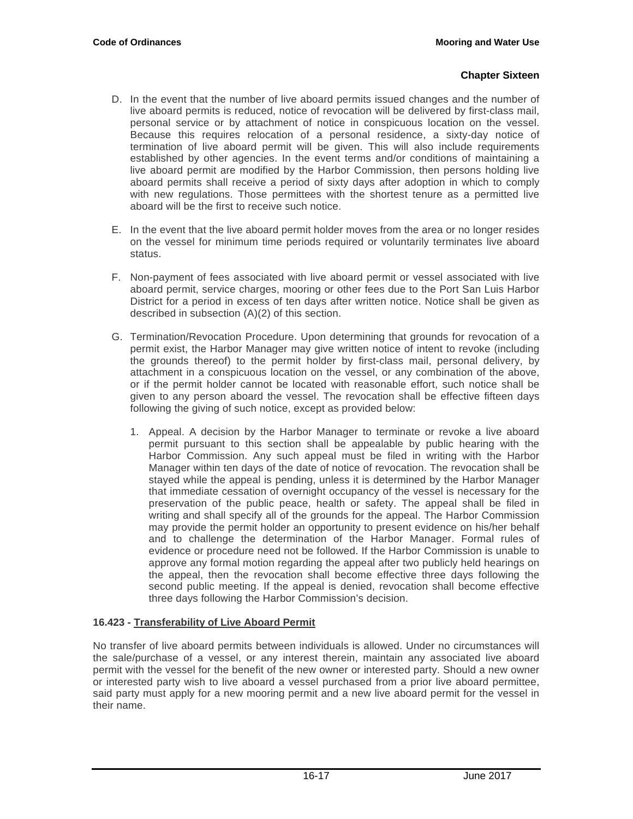- D. In the event that the number of live aboard permits issued changes and the number of live aboard permits is reduced, notice of revocation will be delivered by first-class mail, personal service or by attachment of notice in conspicuous location on the vessel. Because this requires relocation of a personal residence, a sixty-day notice of termination of live aboard permit will be given. This will also include requirements established by other agencies. In the event terms and/or conditions of maintaining a live aboard permit are modified by the Harbor Commission, then persons holding live aboard permits shall receive a period of sixty days after adoption in which to comply with new regulations. Those permittees with the shortest tenure as a permitted live aboard will be the first to receive such notice.
- E. In the event that the live aboard permit holder moves from the area or no longer resides on the vessel for minimum time periods required or voluntarily terminates live aboard status.
- F. Non-payment of fees associated with live aboard permit or vessel associated with live aboard permit, service charges, mooring or other fees due to the Port San Luis Harbor District for a period in excess of ten days after written notice. Notice shall be given as described in subsection (A)(2) of this section.
- G. Termination/Revocation Procedure. Upon determining that grounds for revocation of a permit exist, the Harbor Manager may give written notice of intent to revoke (including the grounds thereof) to the permit holder by first-class mail, personal delivery, by attachment in a conspicuous location on the vessel, or any combination of the above, or if the permit holder cannot be located with reasonable effort, such notice shall be given to any person aboard the vessel. The revocation shall be effective fifteen days following the giving of such notice, except as provided below:
	- 1. Appeal. A decision by the Harbor Manager to terminate or revoke a live aboard permit pursuant to this section shall be appealable by public hearing with the Harbor Commission. Any such appeal must be filed in writing with the Harbor Manager within ten days of the date of notice of revocation. The revocation shall be stayed while the appeal is pending, unless it is determined by the Harbor Manager that immediate cessation of overnight occupancy of the vessel is necessary for the preservation of the public peace, health or safety. The appeal shall be filed in writing and shall specify all of the grounds for the appeal. The Harbor Commission may provide the permit holder an opportunity to present evidence on his/her behalf and to challenge the determination of the Harbor Manager. Formal rules of evidence or procedure need not be followed. If the Harbor Commission is unable to approve any formal motion regarding the appeal after two publicly held hearings on the appeal, then the revocation shall become effective three days following the second public meeting. If the appeal is denied, revocation shall become effective three days following the Harbor Commission's decision.

# **16.423 - Transferability of Live Aboard Permit**

No transfer of live aboard permits between individuals is allowed. Under no circumstances will the sale/purchase of a vessel, or any interest therein, maintain any associated live aboard permit with the vessel for the benefit of the new owner or interested party. Should a new owner or interested party wish to live aboard a vessel purchased from a prior live aboard permittee, said party must apply for a new mooring permit and a new live aboard permit for the vessel in their name.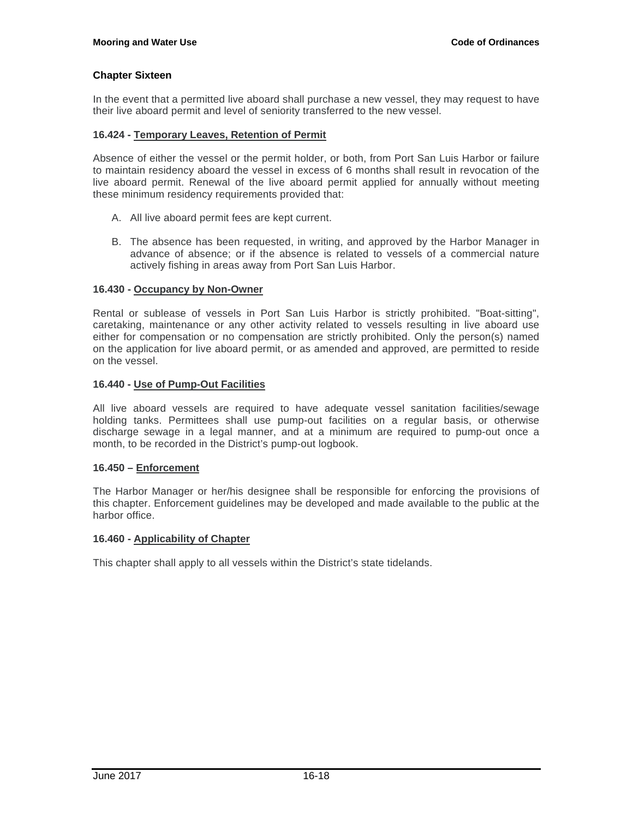In the event that a permitted live aboard shall purchase a new vessel, they may request to have their live aboard permit and level of seniority transferred to the new vessel.

# **16.424 - Temporary Leaves, Retention of Permit**

Absence of either the vessel or the permit holder, or both, from Port San Luis Harbor or failure to maintain residency aboard the vessel in excess of 6 months shall result in revocation of the live aboard permit. Renewal of the live aboard permit applied for annually without meeting these minimum residency requirements provided that:

- A. All live aboard permit fees are kept current.
- B. The absence has been requested, in writing, and approved by the Harbor Manager in advance of absence; or if the absence is related to vessels of a commercial nature actively fishing in areas away from Port San Luis Harbor.

#### **16.430 - Occupancy by Non-Owner**

Rental or sublease of vessels in Port San Luis Harbor is strictly prohibited. "Boat-sitting", caretaking, maintenance or any other activity related to vessels resulting in live aboard use either for compensation or no compensation are strictly prohibited. Only the person(s) named on the application for live aboard permit, or as amended and approved, are permitted to reside on the vessel.

#### **16.440 - Use of Pump-Out Facilities**

All live aboard vessels are required to have adequate vessel sanitation facilities/sewage holding tanks. Permittees shall use pump-out facilities on a regular basis, or otherwise discharge sewage in a legal manner, and at a minimum are required to pump-out once a month, to be recorded in the District's pump-out logbook.

#### **16.450 – Enforcement**

The Harbor Manager or her/his designee shall be responsible for enforcing the provisions of this chapter. Enforcement guidelines may be developed and made available to the public at the harbor office.

#### **16.460 - Applicability of Chapter**

This chapter shall apply to all vessels within the District's state tidelands.